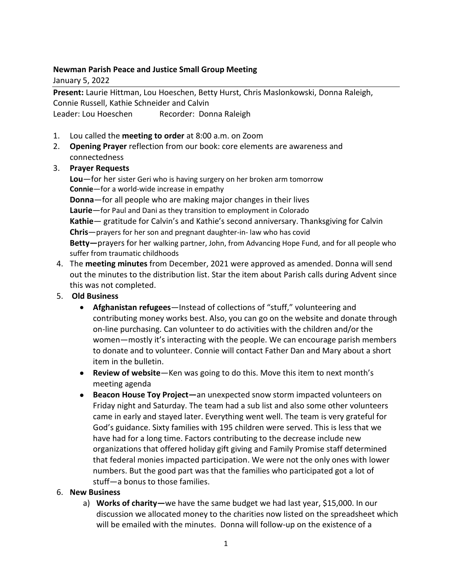## **Newman Parish Peace and Justice Small Group Meeting**

January 5, 2022

**Present:** Laurie Hittman, Lou Hoeschen, Betty Hurst, Chris Maslonkowski, Donna Raleigh, Connie Russell, Kathie Schneider and Calvin Leader: Lou Hoeschen Recorder: Donna Raleigh

- 1. Lou called the **meeting to order** at 8:00 a.m. on Zoom
- 2. **Opening Prayer** reflection from our book: core elements are awareness and connectedness

## 3. **Prayer Requests**

**Lou**—for her sister Geri who is having surgery on her broken arm tomorrow **Connie**—for a world-wide increase in empathy **Donna**—for all people who are making major changes in their lives **Laurie**—for Paul and Dani as they transition to employment in Colorado **Kathie**— gratitude for Calvin's and Kathie's second anniversary. Thanksgiving for Calvin **Chris**—prayers for her son and pregnant daughter-in- law who has covid **Betty—**prayers for her walking partner, John, from Advancing Hope Fund, and for all people who suffer from traumatic childhoods

- 4. The **meeting minutes** from December, 2021 were approved as amended. Donna will send out the minutes to the distribution list. Star the item about Parish calls during Advent since this was not completed.
- 5. **Old Business**
	- **Afghanistan refugees**—Instead of collections of "stuff," volunteering and contributing money works best. Also, you can go on the website and donate through on-line purchasing. Can volunteer to do activities with the children and/or the women—mostly it's interacting with the people. We can encourage parish members to donate and to volunteer. Connie will contact Father Dan and Mary about a short item in the bulletin.
	- **Review of website**—Ken was going to do this. Move this item to next month's meeting agenda
	- **Beacon House Toy Project—**an unexpected snow storm impacted volunteers on Friday night and Saturday. The team had a sub list and also some other volunteers came in early and stayed later. Everything went well. The team is very grateful for God's guidance. Sixty families with 195 children were served. This is less that we have had for a long time. Factors contributing to the decrease include new organizations that offered holiday gift giving and Family Promise staff determined that federal monies impacted participation. We were not the only ones with lower numbers. But the good part was that the families who participated got a lot of stuff—a bonus to those families.

## 6. **New Business**

a) **Works of charity—**we have the same budget we had last year, \$15,000. In our discussion we allocated money to the charities now listed on the spreadsheet which will be emailed with the minutes. Donna will follow-up on the existence of a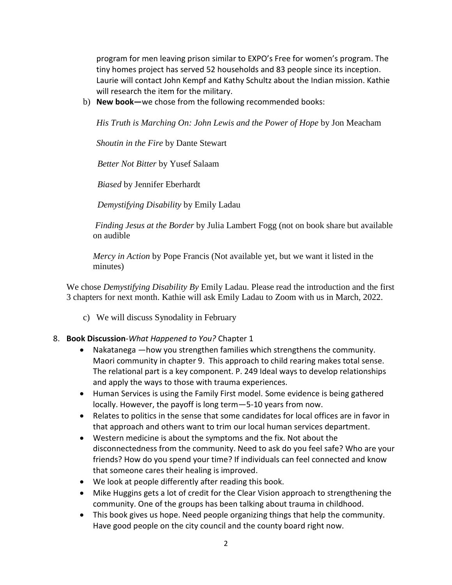program for men leaving prison similar to EXPO's Free for women's program. The tiny homes project has served 52 households and 83 people since its inception. Laurie will contact John Kempf and Kathy Schultz about the Indian mission. Kathie will research the item for the military.

b) **New book—**we chose from the following recommended books:

*His Truth is Marching On: John Lewis and the Power of Hope* by Jon Meacham

*Shoutin in the Fire* by Dante Stewart

*Better Not Bitter* by Yusef Salaam

*Biased* by Jennifer Eberhardt

*Demystifying Disability* by Emily Ladau

*Finding Jesus at the Border* by Julia Lambert Fogg (not on book share but available on audible

*Mercy in Action* by Pope Francis (Not available yet, but we want it listed in the minutes)

We chose *Demystifying Disability By* Emily Ladau. Please read the introduction and the first 3 chapters for next month. Kathie will ask Emily Ladau to Zoom with us in March, 2022.

c) We will discuss Synodality in February

## 8. **Book Discussion**-*What Happened to You?* Chapter 1

- Nakatanega —how you strengthen families which strengthens the community. Maori community in chapter 9. This approach to child rearing makes total sense. The relational part is a key component. P. 249 Ideal ways to develop relationships and apply the ways to those with trauma experiences.
- Human Services is using the Family First model. Some evidence is being gathered locally. However, the payoff is long term—5-10 years from now.
- Relates to politics in the sense that some candidates for local offices are in favor in that approach and others want to trim our local human services department.
- Western medicine is about the symptoms and the fix. Not about the disconnectedness from the community. Need to ask do you feel safe? Who are your friends? How do you spend your time? If individuals can feel connected and know that someone cares their healing is improved.
- We look at people differently after reading this book.
- Mike Huggins gets a lot of credit for the Clear Vision approach to strengthening the community. One of the groups has been talking about trauma in childhood.
- This book gives us hope. Need people organizing things that help the community. Have good people on the city council and the county board right now.